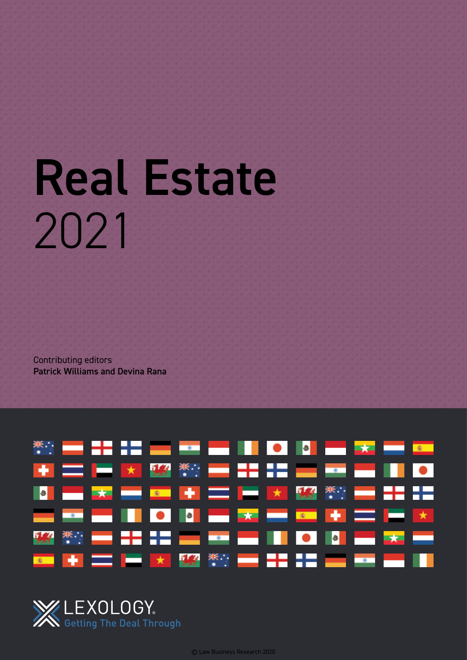# Real Estate 2021

Contributing editors Patrick Williams and Devina Rana



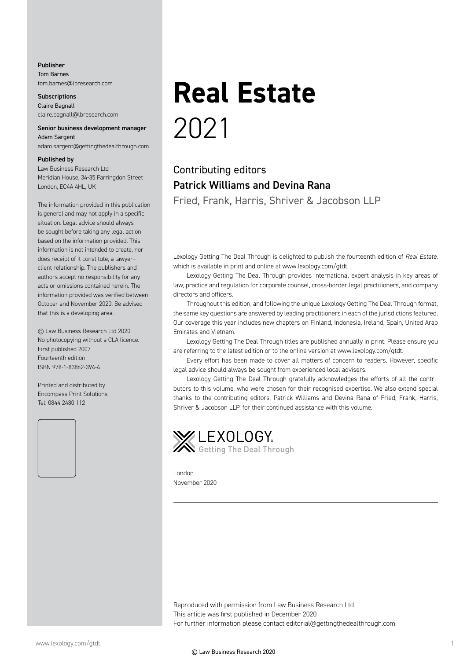#### Publisher Tom Barnes tom.barnes@lbresearch.com

**Subscriptions** Claire Bagnall claire.bagnall@lbresearch.com

#### Senior business development manager Adam Sargent

adam.sargent@gettingthedealthrough.com

#### Published by

Law Business Research Ltd Meridian House, 34-35 Farringdon Street London, EC4A 4HL, UK

The information provided in this publication is general and may not apply in a specific situation. Legal advice should always be sought before taking any legal action based on the information provided. This information is not intended to create, nor does receipt of it constitute, a lawyer– client relationship. The publishers and authors accept no responsibility for any acts or omissions contained herein. The information provided was verified between October and November 2020. Be advised that this is a developing area.

© Law Business Research Ltd 2020 No photocopying without a CLA licence. First published 2007 Fourteenth edition ISBN 978-1-83862-394-4

Printed and distributed by Encompass Print Solutions Tel: 0844 2480 112



### **Real Estate** 2021

#### Contributing editors Patrick Williams and Devina Rana Fried, Frank, Harris, Shriver & Jacobson LLP

Lexology Getting The Deal Through is delighted to publish the fourteenth edition of *Real Estate*, which is available in print and online at www.lexology.com/gtdt.

Lexology Getting The Deal Through provides international expert analysis in key areas of law, practice and regulation for corporate counsel, cross-border legal practitioners, and company directors and officers.

Throughout this edition, and following the unique Lexology Getting The Deal Through format, the same key questions are answered by leading practitioners in each of the jurisdictions featured. Our coverage this year includes new chapters on Finland, Indonesia, Ireland, Spain, United Arab Emirates and Vietnam.

Lexology Getting The Deal Through titles are published annually in print. Please ensure you are referring to the latest edition or to the online version at www.lexology.com/gtdt.

Every effort has been made to cover all matters of concern to readers. However, specific legal advice should always be sought from experienced local advisers.

Lexology Getting The Deal Through gratefully acknowledges the efforts of all the contributors to this volume, who were chosen for their recognised expertise. We also extend special thanks to the contributing editors, Patrick Williams and Devina Rana of Fried, Frank, Harris, Shriver & Jacobson LLP, for their continued assistance with this volume.



London November 2020

Reproduced with permission from Law Business Research Ltd This article was first published in December 2020 For further information please contact editorial@gettingthedealthrough.com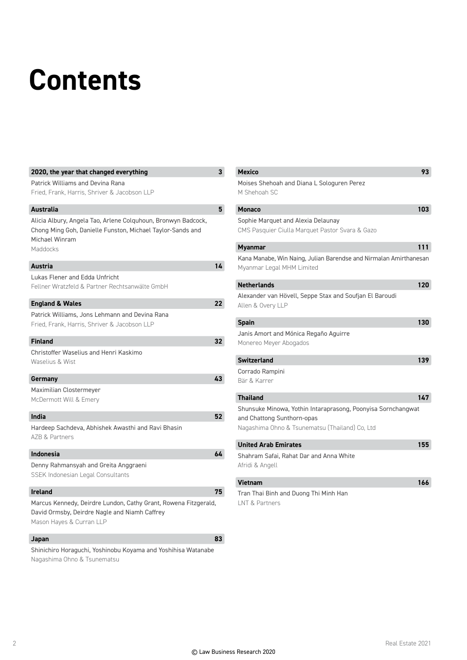## **Contents**

| 2020, the year that changed everything                                                                                                                    | 3  |
|-----------------------------------------------------------------------------------------------------------------------------------------------------------|----|
| Patrick Williams and Devina Rana                                                                                                                          |    |
| Fried, Frank, Harris, Shriver & Jacobson LLP                                                                                                              |    |
| <b>Australia</b>                                                                                                                                          | 5  |
| Alicia Albury, Angela Tao, Arlene Colguhoun, Bronwyn Badcock,<br>Chong Ming Goh, Danielle Funston, Michael Taylor-Sands and<br>Michael Winram<br>Maddocks |    |
| <b>Austria</b>                                                                                                                                            | 14 |
| Lukas Flener and Edda Unfricht<br>Fellner Wratzfeld & Partner Rechtsanwälte GmbH                                                                          |    |
| <b>England &amp; Wales</b>                                                                                                                                | 22 |
| Patrick Williams, Jons Lehmann and Devina Rana                                                                                                            |    |
| Fried, Frank, Harris, Shriver & Jacobson LLP                                                                                                              |    |
| <b>Finland</b>                                                                                                                                            | 32 |
| Christoffer Waselius and Henri Kaskimo                                                                                                                    |    |
| Waselius & Wist                                                                                                                                           |    |
| Germany                                                                                                                                                   | 43 |
| Maximilian Clostermeyer                                                                                                                                   |    |
| McDermott Will & Emery                                                                                                                                    |    |
| India                                                                                                                                                     | 52 |
| Hardeep Sachdeva, Abhishek Awasthi and Ravi Bhasin<br>AZB & Partners                                                                                      |    |
| <b>Indonesia</b>                                                                                                                                          | 64 |
| Denny Rahmansyah and Greita Anggraeni                                                                                                                     |    |
| SSEK Indonesian Legal Consultants                                                                                                                         |    |
| <b>Ireland</b>                                                                                                                                            | 75 |
| Marcus Kennedy, Deirdre Lundon, Cathy Grant, Rowena Fitzgerald,                                                                                           |    |
| David Ormsby, Deirdre Nagle and Niamh Caffrey                                                                                                             |    |
| Mason Hayes & Curran LLP                                                                                                                                  |    |
| Japan                                                                                                                                                     | 83 |
| Shinichiro Horaguchi, Yoshinobu Koyama and Yoshihisa Watanabe                                                                                             |    |

Nagashima Ohno & Tsunematsu

| <b>Mexico</b>                                                                                                                                | 93  |
|----------------------------------------------------------------------------------------------------------------------------------------------|-----|
| Moises Shehoah and Diana L Sologuren Perez<br>M Shehoah SC                                                                                   |     |
| <b>Monaco</b>                                                                                                                                | 103 |
| Sophie Marquet and Alexia Delaunay<br>CMS Pasquier Ciulla Marquet Pastor Svara & Gazo                                                        |     |
| <b>Myanmar</b>                                                                                                                               | 111 |
| Kana Manabe, Win Naing, Julian Barendse and Nirmalan Amirthanesan<br>Myanmar Legal MHM Limited                                               |     |
| <b>Netherlands</b>                                                                                                                           | 120 |
| Alexander van Hövell, Seppe Stax and Soufjan El Baroudi<br>Allen & Overy LLP                                                                 |     |
| <b>Spain</b>                                                                                                                                 | 130 |
| Janis Amort and Mónica Regaño Aguirre<br>Monereo Meyer Abogados                                                                              |     |
| <b>Switzerland</b>                                                                                                                           | 139 |
| Corrado Rampini<br>Bär & Karrer                                                                                                              |     |
| <b>Thailand</b>                                                                                                                              | 147 |
| Shunsuke Minowa, Yothin Intaraprasong, Poonyisa Sornchangwat<br>and Chattong Sunthorn-opas<br>Nagashima Ohno & Tsunematsu (Thailand) Co, Ltd |     |
| <b>United Arab Emirates</b>                                                                                                                  | 155 |
| Shahram Safai, Rahat Dar and Anna White<br>Afridi & Angell                                                                                   |     |
| <b>Vietnam</b>                                                                                                                               | 166 |
| Tran Thai Binh and Duong Thi Minh Han<br>LNT & Partners                                                                                      |     |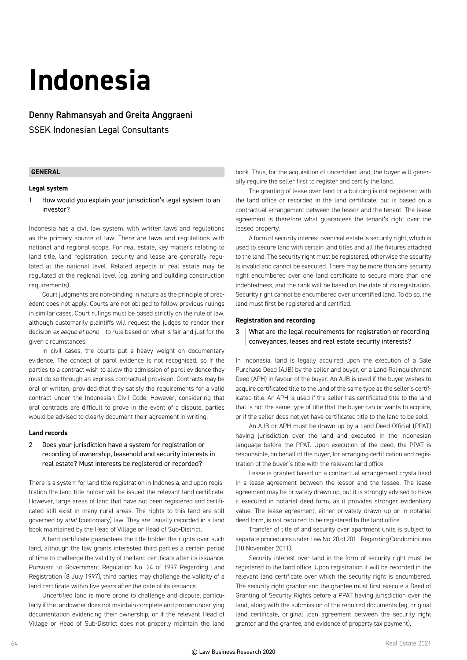### **Indonesia**

#### Denny Rahmansyah and Greita Anggraeni

SSEK Indonesian Legal Consultants

#### **GENERAL**

#### **Legal system**

1 How would you explain your jurisdiction's legal system to an investor?

Indonesia has a civil law system, with written laws and regulations as the primary source of law. There are laws and regulations with national and regional scope. For real estate, key matters relating to land title, land registration, security and lease are generally regulated at the national level. Related aspects of real estate may be regulated at the regional level (eg, zoning and building construction requirements).

Court judgments are non-binding in nature as the principle of precedent does not apply. Courts are not obliged to follow previous rulings in similar cases. Court rulings must be based strictly on the rule of law, although customarily plaintiffs will request the judges to render their decision *ex aequo et bono* – to rule based on what is fair and just for the given circumstances.

In civil cases, the courts put a heavy weight on documentary evidence. The concept of parol evidence is not recognised, so if the parties to a contract wish to allow the admission of parol evidence they must do so through an express contractual provision. Contracts may be oral or written, provided that they satisfy the requirements for a valid contract under the Indonesian Civil Code. However, considering that oral contracts are difficult to prove in the event of a dispute, parties would be advised to clearly document their agreement in writing.

#### **Land records**

#### 2 Does your jurisdiction have a system for registration or recording of ownership, leasehold and security interests in real estate? Must interests be registered or recorded?

There is a system for land title registration in Indonesia, and upon registration the land title holder will be issued the relevant land certificate. However, large areas of land that have not been registered and certificated still exist in many rural areas. The rights to this land are still governed by *adat* (customary) law. They are usually recorded in a land book maintained by the Head of Village or Head of Sub-District.

A land certificate guarantees the title holder the rights over such land, although the law grants interested third parties a certain period of time to challenge the validity of the land certificate after its issuance. Pursuant to Government Regulation No. 24 of 1997 Regarding Land Registration (8 July 1997), third parties may challenge the validity of a land certificate within five years after the date of its issuance.

Uncertified land is more prone to challenge and dispute, particularly if the landowner does not maintain complete and proper underlying documentation evidencing their ownership, or if the relevant Head of Village or Head of Sub-District does not properly maintain the land book. Thus, for the acquisition of uncertified land, the buyer will generally require the seller first to register and certify the land.

The granting of lease over land or a building is not registered with the land office or recorded in the land certificate, but is based on a contractual arrangement between the lessor and the tenant. The lease agreement is therefore what guarantees the tenant's right over the leased property.

A form of security interest over real estate is security right, which is used to secure land with certain land titles and all the fixtures attached to the land. The security right must be registered, otherwise the security is invalid and cannot be executed. There may be more than one security right encumbered over one land certificate to secure more than one indebtedness, and the rank will be based on the date of its registration. Security right cannot be encumbered over uncertified land. To do so, the land must first be registered and certified.

#### **Registration and recording**

3 What are the legal requirements for registration or recording conveyances, leases and real estate security interests?

In Indonesia, land is legally acquired upon the execution of a Sale Purchase Deed (AJB) by the seller and buyer, or a Land Relinquishment Deed (APH) in favour of the buyer. An AJB is used if the buyer wishes to acquire certificated title to the land of the same type as the seller's certificated title. An APH is used if the seller has certificated title to the land that is not the same type of title that the buyer can or wants to acquire, or if the seller does not yet have certificated title to the land to be sold.

An AJB or APH must be drawn up by a Land Deed Official (PPAT) having jurisdiction over the land and executed in the Indonesian language before the PPAT. Upon execution of the deed, the PPAT is responsible, on behalf of the buyer, for arranging certification and registration of the buyer's title with the relevant land office.

Lease is granted based on a contractual arrangement crystallised in a lease agreement between the lessor and the lessee. The lease agreement may be privately drawn up, but it is strongly advised to have it executed in notarial deed form, as it provides stronger evidentiary value. The lease agreement, either privately drawn up or in notarial deed form, is not required to be registered to the land office.

Transfer of title of and security over apartment units is subject to separate procedures under Law No. 20 of 2011 Regarding Condominiums (10 November 2011).

Security interest over land in the form of security right must be registered to the land office. Upon registration it will be recorded in the relevant land certificate over which the security right is encumbered. The security right grantor and the grantee must first execute a Deed of Granting of Security Rights before a PPAT having jurisdiction over the land, along with the submission of the required documents (eg, original land certificate, original loan agreement between the security right grantor and the grantee, and evidence of property tax payment).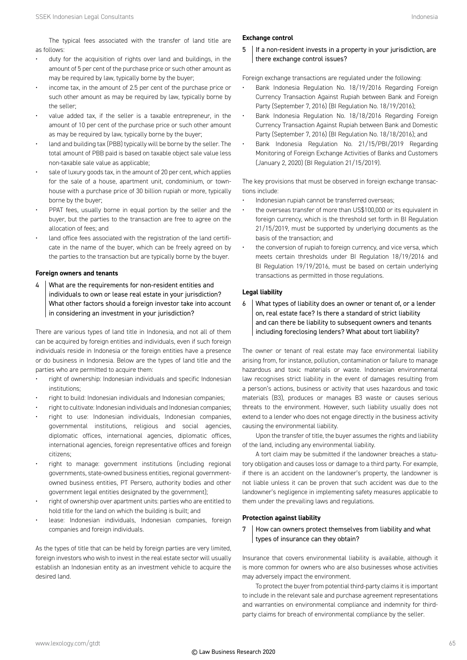The typical fees associated with the transfer of land title are as follows:

- duty for the acquisition of rights over land and buildings, in the amount of 5 per cent of the purchase price or such other amount as may be required by law, typically borne by the buyer;
- income tax, in the amount of 2.5 per cent of the purchase price or such other amount as may be required by law, typically borne by the seller;
- value added tax, if the seller is a taxable entrepreneur, in the amount of 10 per cent of the purchase price or such other amount as may be required by law, typically borne by the buyer;
- land and building tax (PBB) typically will be borne by the seller. The total amount of PBB paid is based on taxable object sale value less non-taxable sale value as applicable;
- sale of luxury goods tax, in the amount of 20 per cent, which applies for the sale of a house, apartment unit, condominium, or townhouse with a purchase price of 30 billion rupiah or more, typically borne by the buyer;
- PPAT fees, usually borne in equal portion by the seller and the buyer, but the parties to the transaction are free to agree on the allocation of fees; and
- land office fees associated with the registration of the land certificate in the name of the buyer, which can be freely agreed on by the parties to the transaction but are typically borne by the buyer.

#### **Foreign owners and tenants**

4 What are the requirements for non-resident entities and individuals to own or lease real estate in your jurisdiction? What other factors should a foreign investor take into account in considering an investment in your jurisdiction?

There are various types of land title in Indonesia, and not all of them can be acquired by foreign entities and individuals, even if such foreign individuals reside in Indonesia or the foreign entities have a presence or do business in Indonesia. Below are the types of land title and the parties who are permitted to acquire them:

- right of ownership: Indonesian individuals and specific Indonesian institutions;
- right to build: Indonesian individuals and Indonesian companies;
- right to cultivate: Indonesian individuals and Indonesian companies;
- right to use: Indonesian individuals, Indonesian companies, governmental institutions, religious and social agencies, diplomatic offices, international agencies, diplomatic offices, international agencies, foreign representative offices and foreign citizens;
- right to manage: government institutions (including regional governments, state-owned business entities, regional governmentowned business entities, PT Persero, authority bodies and other government legal entities designated by the government);
- right of ownership over apartment units: parties who are entitled to hold title for the land on which the building is built; and
- lease: Indonesian individuals, Indonesian companies, foreign companies and foreign individuals.

As the types of title that can be held by foreign parties are very limited, foreign investors who wish to invest in the real estate sector will usually establish an Indonesian entity as an investment vehicle to acquire the desired land.

#### **Exchange control**

 $5$  | If a non-resident invests in a property in your jurisdiction, are there exchange control issues?

Foreign exchange transactions are regulated under the following:

- Bank Indonesia Regulation No. 18/19/2016 Regarding Foreign Currency Transaction Against Rupiah between Bank and Foreign Party (September 7, 2016) (BI Regulation No. 18/19/2016);
- Bank Indonesia Regulation No. 18/18/2016 Regarding Foreign Currency Transaction Against Rupiah between Bank and Domestic Party (September 7, 2016) (BI Regulation No. 18/18/2016); and
- Bank Indonesia Regulation No. 21/15/PBI/2019 Regarding Monitoring of Foreign Exchange Activities of Banks and Customers (January 2, 2020) (BI Regulation 21/15/2019).

The key provisions that must be observed in foreign exchange transactions include:

- Indonesian rupiah cannot be transferred overseas;
- the overseas transfer of more than US\$100,000 or its equivalent in foreign currency, which is the threshold set forth in BI Regulation 21/15/2019, must be supported by underlying documents as the basis of the transaction; and
- the conversion of rupiah to foreign currency, and vice versa, which meets certain thresholds under BI Regulation 18/19/2016 and BI Regulation 19/19/2016, must be based on certain underlying transactions as permitted in those regulations.

#### **Legal liability**

6 What types of liability does an owner or tenant of, or a lender on, real estate face? Is there a standard of strict liability and can there be liability to subsequent owners and tenants including foreclosing lenders? What about tort liability?

The owner or tenant of real estate may face environmental liability arising from, for instance, pollution, contamination or failure to manage hazardous and toxic materials or waste. Indonesian environmental law recognises strict liability in the event of damages resulting from a person's actions, business or activity that uses hazardous and toxic materials (B3), produces or manages B3 waste or causes serious threats to the environment. However, such liability usually does not extend to a lender who does not engage directly in the business activity causing the environmental liability.

Upon the transfer of title, the buyer assumes the rights and liability of the land, including any environmental liability.

A tort claim may be submitted if the landowner breaches a statutory obligation and causes loss or damage to a third party. For example, if there is an accident on the landowner's property, the landowner is not liable unless it can be proven that such accident was due to the landowner's negligence in implementing safety measures applicable to them under the prevailing laws and regulations.

#### **Protection against liability**

7 How can owners protect themselves from liability and what types of insurance can they obtain?

Insurance that covers environmental liability is available, although it is more common for owners who are also businesses whose activities may adversely impact the environment.

To protect the buyer from potential third-party claims it is important to include in the relevant sale and purchase agreement representations and warranties on environmental compliance and indemnity for thirdparty claims for breach of environmental compliance by the seller.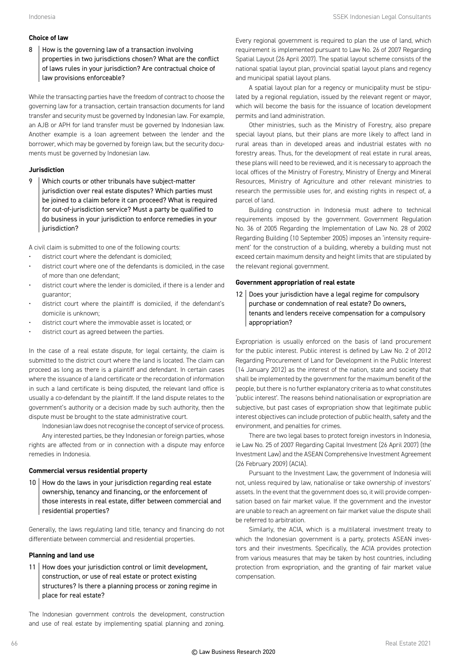#### **Choice of law**

 $8$  | How is the governing law of a transaction involving properties in two jurisdictions chosen? What are the conflict of laws rules in your jurisdiction? Are contractual choice of law provisions enforceable?

While the transacting parties have the freedom of contract to choose the governing law for a transaction, certain transaction documents for land transfer and security must be governed by Indonesian law. For example, an AJB or APH for land transfer must be governed by Indonesian law. Another example is a loan agreement between the lender and the borrower, which may be governed by foreign law, but the security documents must be governed by Indonesian law.

#### **Jurisdiction**

9 Which courts or other tribunals have subject-matter jurisdiction over real estate disputes? Which parties must be joined to a claim before it can proceed? What is required for out-of-jurisdiction service? Must a party be qualified to do business in your jurisdiction to enforce remedies in your jurisdiction?

A civil claim is submitted to one of the following courts:

- district court where the defendant is domiciled;
- district court where one of the defendants is domiciled, in the case of more than one defendant;
- district court where the lender is domiciled, if there is a lender and guarantor;
- district court where the plaintiff is domiciled, if the defendant's domicile is unknown;
- district court where the immovable asset is located; or
- district court as agreed between the parties.

In the case of a real estate dispute, for legal certainty, the claim is submitted to the district court where the land is located. The claim can proceed as long as there is a plaintiff and defendant. In certain cases where the issuance of a land certificate or the recordation of information in such a land certificate is being disputed, the relevant land office is usually a co-defendant by the plaintiff. If the land dispute relates to the government's authority or a decision made by such authority, then the dispute must be brought to the state administrative court.

Indonesian law does not recognise the concept of service of process. Any interested parties, be they Indonesian or foreign parties, whose rights are affected from or in connection with a dispute may enforce remedies in Indonesia.

#### **Commercial versus residential property**

10 | How do the laws in your jurisdiction regarding real estate ownership, tenancy and financing, or the enforcement of those interests in real estate, differ between commercial and residential properties?

Generally, the laws regulating land title, tenancy and financing do not differentiate between commercial and residential properties.

#### **Planning and land use**

11 | How does your jurisdiction control or limit development, construction, or use of real estate or protect existing structures? Is there a planning process or zoning regime in place for real estate?

The Indonesian government controls the development, construction and use of real estate by implementing spatial planning and zoning.

Every regional government is required to plan the use of land, which requirement is implemented pursuant to Law No. 26 of 2007 Regarding Spatial Layout (26 April 2007). The spatial layout scheme consists of the national spatial layout plan, provincial spatial layout plans and regency and municipal spatial layout plans.

A spatial layout plan for a regency or municipality must be stipulated by a regional regulation, issued by the relevant regent or mayor, which will become the basis for the issuance of location development permits and land administration.

Other ministries, such as the Ministry of Forestry, also prepare special layout plans, but their plans are more likely to affect land in rural areas than in developed areas and industrial estates with no forestry areas. Thus, for the development of real estate in rural areas, these plans will need to be reviewed, and it is necessary to approach the local offices of the Ministry of Forestry, Ministry of Energy and Mineral Resources, Ministry of Agriculture and other relevant ministries to research the permissible uses for, and existing rights in respect of, a parcel of land.

Building construction in Indonesia must adhere to technical requirements imposed by the government. Government Regulation No. 36 of 2005 Regarding the Implementation of Law No. 28 of 2002 Regarding Building (10 September 2005) imposes an 'intensity requirement' for the construction of a building, whereby a building must not exceed certain maximum density and height limits that are stipulated by the relevant regional government.

#### **Government appropriation of real estate**

12 Does your jurisdiction have a legal regime for compulsory purchase or condemnation of real estate? Do owners, tenants and lenders receive compensation for a compulsory appropriation?

Expropriation is usually enforced on the basis of land procurement for the public interest. Public interest is defined by Law No. 2 of 2012 Regarding Procurement of Land for Development in the Public Interest (14 January 2012) as the interest of the nation, state and society that shall be implemented by the government for the maximum benefit of the people, but there is no further explanatory criteria as to what constitutes 'public interest'. The reasons behind nationalisation or expropriation are subjective, but past cases of expropriation show that legitimate public interest objectives can include protection of public health, safety and the environment, and penalties for crimes.

There are two legal bases to protect foreign investors in Indonesia, ie Law No. 25 of 2007 Regarding Capital Investment (26 April 2007) (the Investment Law) and the ASEAN Comprehensive Investment Agreement (26 February 2009) (ACIA).

Pursuant to the Investment Law, the government of Indonesia will not, unless required by law, nationalise or take ownership of investors' assets. In the event that the government does so, it will provide compensation based on fair market value. If the government and the investor are unable to reach an agreement on fair market value the dispute shall be referred to arbitration.

Similarly, the ACIA, which is a multilateral investment treaty to which the Indonesian government is a party, protects ASEAN investors and their investments. Specifically, the ACIA provides protection from various measures that may be taken by host countries, including protection from expropriation, and the granting of fair market value compensation.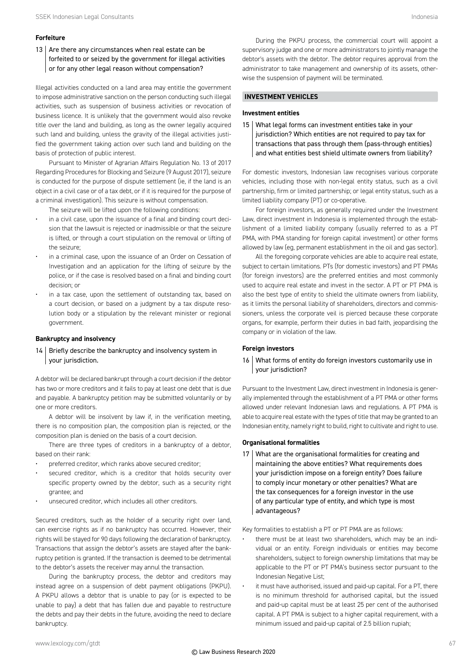#### **Forfeiture**

13  $\vert$  Are there any circumstances when real estate can be forfeited to or seized by the government for illegal activities or for any other legal reason without compensation?

Illegal activities conducted on a land area may entitle the government to impose administrative sanction on the person conducting such illegal activities, such as suspension of business activities or revocation of business licence. It is unlikely that the government would also revoke title over the land and building, as long as the owner legally acquired such land and building, unless the gravity of the illegal activities justified the government taking action over such land and building on the basis of protection of public interest.

Pursuant to Minister of Agrarian Affairs Regulation No. 13 of 2017 Regarding Procedures for Blocking and Seizure (9 August 2017), seizure is conducted for the purpose of dispute settlement (ie, if the land is an object in a civil case or of a tax debt, or if it is required for the purpose of a criminal investigation). This seizure is without compensation.

The seizure will be lifted upon the following conditions:

- in a civil case, upon the issuance of a final and binding court decision that the lawsuit is rejected or inadmissible or that the seizure is lifted, or through a court stipulation on the removal or lifting of the seizure;
- in a criminal case, upon the issuance of an Order on Cessation of Investigation and an application for the lifting of seizure by the police, or if the case is resolved based on a final and binding court decision; or
- in a tax case, upon the settlement of outstanding tax, based on a court decision, or based on a judgment by a tax dispute resolution body or a stipulation by the relevant minister or regional government.

#### **Bankruptcy and insolvency**

14 Briefly describe the bankruptcy and insolvency system in your jurisdiction.

A debtor will be declared bankrupt through a court decision if the debtor has two or more creditors and it fails to pay at least one debt that is due and payable. A bankruptcy petition may be submitted voluntarily or by one or more creditors.

A debtor will be insolvent by law if, in the verification meeting, there is no composition plan, the composition plan is rejected, or the composition plan is denied on the basis of a court decision.

There are three types of creditors in a bankruptcy of a debtor, based on their rank:

- preferred creditor, which ranks above secured creditor;
- secured creditor, which is a creditor that holds security over specific property owned by the debtor, such as a security right grantee; and
- unsecured creditor, which includes all other creditors.

Secured creditors, such as the holder of a security right over land, can exercise rights as if no bankruptcy has occurred. However, their rights will be stayed for 90 days following the declaration of bankruptcy. Transactions that assign the debtor's assets are stayed after the bankruptcy petition is granted. If the transaction is deemed to be detrimental to the debtor's assets the receiver may annul the transaction.

During the bankruptcy process, the debtor and creditors may instead agree on a suspension of debt payment obligations (PKPU). A PKPU allows a debtor that is unable to pay (or is expected to be unable to pay) a debt that has fallen due and payable to restructure the debts and pay their debts in the future, avoiding the need to declare bankruptcy.

During the PKPU process, the commercial court will appoint a supervisory judge and one or more administrators to jointly manage the debtor's assets with the debtor. The debtor requires approval from the administrator to take management and ownership of its assets, otherwise the suspension of payment will be terminated.

#### **INVESTMENT VEHICLES**

#### **Investment entities**

15 What legal forms can investment entities take in your jurisdiction? Which entities are not required to pay tax for transactions that pass through them (pass-through entities) and what entities best shield ultimate owners from liability?

For domestic investors, Indonesian law recognises various corporate vehicles, including those with non-legal entity status, such as a civil partnership, firm or limited partnership; or legal entity status, such as a limited liability company (PT) or co-operative.

For foreign investors, as generally required under the Investment Law, direct investment in Indonesia is implemented through the establishment of a limited liability company (usually referred to as a PT PMA, with PMA standing for foreign capital investment) or other forms allowed by law (eg, permanent establishment in the oil and gas sector).

All the foregoing corporate vehicles are able to acquire real estate, subject to certain limitations. PTs (for domestic investors) and PT PMAs (for foreign investors) are the preferred entities and most commonly used to acquire real estate and invest in the sector. A PT or PT PMA is also the best type of entity to shield the ultimate owners from liability, as it limits the personal liability of shareholders, directors and commissioners, unless the corporate veil is pierced because these corporate organs, for example, perform their duties in bad faith, jeopardising the company or in violation of the law.

#### **Foreign investors**

#### 16 What forms of entity do foreign investors customarily use in your jurisdiction?

Pursuant to the Investment Law, direct investment in Indonesia is generally implemented through the establishment of a PT PMA or other forms allowed under relevant Indonesian laws and regulations. A PT PMA is able to acquire real estate with the types of title that may be granted to an Indonesian entity, namely right to build, right to cultivate and right to use.

#### **Organisational formalities**

17 What are the organisational formalities for creating and maintaining the above entities? What requirements does your jurisdiction impose on a foreign entity? Does failure to comply incur monetary or other penalties? What are the tax consequences for a foreign investor in the use of any particular type of entity, and which type is most advantageous?

Key formalities to establish a PT or PT PMA are as follows:

- there must be at least two shareholders, which may be an individual or an entity. Foreign individuals or entities may become shareholders, subject to foreign ownership limitations that may be applicable to the PT or PT PMA's business sector pursuant to the Indonesian Negative List;
- it must have authorised, issued and paid-up capital. For a PT, there is no minimum threshold for authorised capital, but the issued and paid-up capital must be at least 25 per cent of the authorised capital. A PT PMA is subject to a higher capital requirement, with a minimum issued and paid-up capital of 2.5 billion rupiah;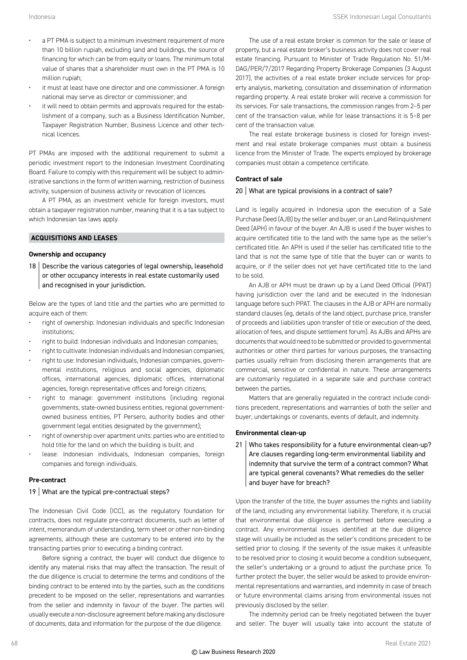- a PT PMA is subject to a minimum investment requirement of more than 10 billion rupiah, excluding land and buildings, the source of financing for which can be from equity or loans. The minimum total value of shares that a shareholder must own in the PT PMA is 10 million rupiah;
- it must at least have one director and one commissioner. A foreign national may serve as director or commissioner; and
- it will need to obtain permits and approvals required for the establishment of a company, such as a Business Identification Number, Taxpayer Registration Number, Business Licence and other technical licences.

PT PMAs are imposed with the additional requirement to submit a periodic investment report to the Indonesian Investment Coordinating Board. Failure to comply with this requirement will be subject to administrative sanctions in the form of written warning, restriction of business activity, suspension of business activity or revocation of licences.

A PT PMA, as an investment vehicle for foreign investors, must obtain a taxpayer registration number, meaning that it is a tax subject to which Indonesian tax laws apply.

#### **ACQUISITIONS AND LEASES**

#### **Ownership and occupancy**

18 Describe the various categories of legal ownership, leasehold or other occupancy interests in real estate customarily used and recognised in your jurisdiction.

Below are the types of land title and the parties who are permitted to acquire each of them:

- right of ownership: Indonesian individuals and specific Indonesian institutions;
- right to build: Indonesian individuals and Indonesian companies;
- right to cultivate: Indonesian individuals and Indonesian companies;
- right to use: Indonesian individuals, Indonesian companies, governmental institutions, religious and social agencies, diplomatic offices, international agencies, diplomatic offices, international agencies, foreign representative offices and foreign citizens;
- right to manage: government institutions (including regional governments, state-owned business entities, regional governmentowned business entities, PT Persero, authority bodies and other government legal entities designated by the government);
- right of ownership over apartment units: parties who are entitled to hold title for the land on which the building is built; and
- lease: Indonesian individuals, Indonesian companies, foreign companies and foreign individuals.

#### **Pre-contract**

#### 19 What are the typical pre-contractual steps?

The Indonesian Civil Code (ICC), as the regulatory foundation for contracts, does not regulate pre-contract documents, such as letter of intent, memorandum of understanding, term sheet or other non-binding agreements, although these are customary to be entered into by the transacting parties prior to executing a binding contract.

Before signing a contract, the buyer will conduct due diligence to identify any material risks that may affect the transaction. The result of the due diligence is crucial to determine the terms and conditions of the binding contract to be entered into by the parties, such as the conditions precedent to be imposed on the seller, representations and warranties from the seller and indemnity in favour of the buyer. The parties will usually execute a non-disclosure agreement before making any disclosure of documents, data and information for the purpose of the due diligence.

The use of a real estate broker is common for the sale or lease of property, but a real estate broker's business activity does not cover real estate financing. Pursuant to Minister of Trade Regulation No. 51/M-DAG/PER/7/2017 Regarding Property Brokerage Companies (3 August 2017), the activities of a real estate broker include services for property analysis, marketing, consultation and dissemination of information regarding property. A real estate broker will receive a commission for its services. For sale transactions, the commission ranges from 2–5 per cent of the transaction value, while for lease transactions it is 5–8 per cent of the transaction value.

The real estate brokerage business is closed for foreign investment and real estate brokerage companies must obtain a business licence from the Minister of Trade. The experts employed by brokerage companies must obtain a competence certificate.

#### **Contract of sale**

#### 20 What are typical provisions in a contract of sale?

Land is legally acquired in Indonesia upon the execution of a Sale Purchase Deed (AJB) by the seller and buyer, or an Land Relinquishment Deed (APH) in favour of the buyer. An AJB is used if the buyer wishes to acquire certificated title to the land with the same type as the seller's certificated title. An APH is used if the seller has certificated title to the land that is not the same type of title that the buyer can or wants to acquire, or if the seller does not yet have certificated title to the land to be sold.

An AJB or APH must be drawn up by a Land Deed Official (PPAT) having jurisdiction over the land and be executed in the Indonesian language before such PPAT. The clauses in the AJB or APH are normally standard clauses (eg, details of the land object, purchase price, transfer of proceeds and liabilities upon transfer of title or execution of the deed, allocation of fees, and dispute settlement forum). As AJBs and APHs are documents that would need to be submitted or provided to governmental authorities or other third parties for various purposes, the transacting parties usually refrain from disclosing therein arrangements that are commercial, sensitive or confidential in nature. These arrangements are customarily regulated in a separate sale and purchase contract between the parties.

Matters that are generally regulated in the contract include conditions precedent, representations and warranties of both the seller and buyer, undertakings or covenants, events of default, and indemnity.

#### **Environmental clean-up**

21 Who takes responsibility for a future environmental clean-up? Are clauses regarding long-term environmental liability and indemnity that survive the term of a contract common? What are typical general covenants? What remedies do the seller and buyer have for breach?

Upon the transfer of the title, the buyer assumes the rights and liability of the land, including any environmental liability. Therefore, it is crucial that environmental due diligence is performed before executing a contract. Any environmental issues identified at the due diligence stage will usually be included as the seller's conditions precedent to be settled prior to closing. If the severity of the issue makes it unfeasible to be resolved prior to closing it would become a condition subsequent, the seller's undertaking or a ground to adjust the purchase price. To further protect the buyer, the seller would be asked to provide environmental representations and warranties, and indemnity in case of breach or future environmental claims arising from environmental issues not previously disclosed by the seller.

The indemnity period can be freely negotiated between the buyer and seller. The buyer will usually take into account the statute of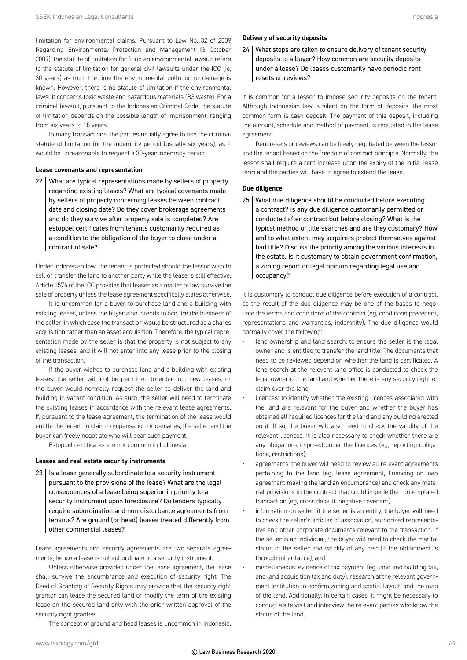limitation for environmental claims. Pursuant to Law No. 32 of 2009 Regarding Environmental Protection and Management (3 October 2009), the statute of limitation for filing an environmental lawsuit refers to the statute of limitation for general civil lawsuits under the ICC (ie, 30 years) as from the time the environmental pollution or damage is known. However, there is no statute of limitation if the environmental lawsuit concerns toxic waste and hazardous materials (B3 waste). For a criminal lawsuit, pursuant to the Indonesian Criminal Code, the statute of limitation depends on the possible length of imprisonment, ranging from six years to 18 years.

In many transactions, the parties usually agree to use the criminal statute of limitation for the indemnity period (usually six years), as it would be unreasonable to request a 30-year indemnity period.

#### **Lease covenants and representation**

22 What are typical representations made by sellers of property regarding existing leases? What are typical covenants made by sellers of property concerning leases between contract date and closing date? Do they cover brokerage agreements and do they survive after property sale is completed? Are estoppel certificates from tenants customarily required as a condition to the obligation of the buyer to close under a contract of sale?

Under Indonesian law, the tenant is protected should the lessor wish to sell or transfer the land to another party while the lease is still effective. Article 1576 of the ICC provides that leases as a matter of law survive the sale of property unless the lease agreement specifically states otherwise.

It is uncommon for a buyer to purchase land and a building with existing leases, unless the buyer also intends to acquire the business of the seller, in which case the transaction would be structured as a shares acquisition rather than an asset acquisition. Therefore, the typical representation made by the seller is that the property is not subject to any existing leases, and it will not enter into any lease prior to the closing of the transaction.

If the buyer wishes to purchase land and a building with existing leases, the seller will not be permitted to enter into new leases, or the buyer would normally request the seller to deliver the land and building in vacant condition. As such, the seller will need to terminate the existing leases in accordance with the relevant lease agreements. If, pursuant to the lease agreement, the termination of the lease would entitle the tenant to claim compensation or damages, the seller and the buyer can freely negotiate who will bear such payment.

Estoppel certificates are not common in Indonesia.

#### **Leases and real estate security instruments**

 $23$  | Is a lease generally subordinate to a security instrument pursuant to the provisions of the lease? What are the legal consequences of a lease being superior in priority to a security instrument upon foreclosure? Do lenders typically require subordination and non-disturbance agreements from tenants? Are ground (or head) leases treated differently from other commercial leases?

Lease agreements and security agreements are two separate agreements, hence a lease is not subordinate to a security instrument.

Unless otherwise provided under the lease agreement, the lease shall survive the encumbrance and execution of security right. The Deed of Granting of Security Rights may provide that the security right grantor can lease the secured land or modify the term of the existing lease on the secured land only with the prior written approval of the security right grantee.

The concept of ground and head leases is uncommon in Indonesia.

#### **Delivery of security deposits**

24 | What steps are taken to ensure delivery of tenant security deposits to a buyer? How common are security deposits under a lease? Do leases customarily have periodic rent resets or reviews?

It is common for a lessor to impose security deposits on the tenant. Although Indonesian law is silent on the form of deposits, the most common form is cash deposit. The payment of this deposit, including the amount, schedule and method of payment, is regulated in the lease agreement.

Rent resets or reviews can be freely negotiated between the lessor and the tenant based on the freedom of contract principle. Normally, the lessor shall require a rent increase upon the expiry of the initial lease term and the parties will have to agree to extend the lease.

#### **Due diligence**

25 What due diligence should be conducted before executing a contract? Is any due diligence customarily permitted or conducted after contract but before closing? What is the typical method of title searches and are they customary? How and to what extent may acquirers protect themselves against bad title? Discuss the priority among the various interests in the estate. Is it customary to obtain government confirmation, a zoning report or legal opinion regarding legal use and occupancy?

It is customary to conduct due diligence before execution of a contract, as the result of the due diligence may be one of the bases to negotiate the terms and conditions of the contract (eg, conditions precedent, representations and warranties, indemnity). The due diligence would normally cover the following:

- land ownership and land search: to ensure the seller is the legal owner and is entitled to transfer the land title. The documents that need to be reviewed depend on whether the land is certificated. A land search at the relevant land office is conducted to check the legal owner of the land and whether there is any security right or claim over the land;
- licences: to identify whether the existing licences associated with the land are relevant for the buyer and whether the buyer has obtained all required licences for the land and any building erected on it. If so, the buyer will also need to check the validity of the relevant licences. It is also necessary to check whether there are any obligations imposed under the licences (eg, reporting obligations, restrictions);
- agreements: the buyer will need to review all relevant agreements pertaining to the land (eg, lease agreement, financing or loan agreement making the land an encumbrance) and check any material provisions in the contract that could impede the contemplated transaction (eg, cross default, negative covenant);
- information on seller: if the seller is an entity, the buyer will need to check the seller's articles of association, authorised representative and other corporate documents relevant to the transaction. If the seller is an individual, the buyer will need to check the marital status of the seller and validity of any heir (if the obtainment is through inheritance); and
- miscellaneous: evidence of tax payment (eg, land and building tax, and land acquisition tax and duty), research at the relevant government institution to confirm zoning and spatial layout, and the map of the land. Additionally, in certain cases, it might be necessary to conduct a site visit and interview the relevant parties who know the status of the land.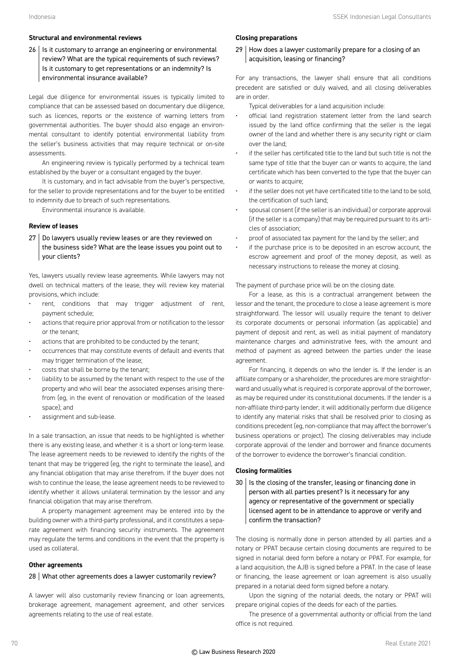#### **Structural and environmental reviews**

 $26$  | Is it customary to arrange an engineering or environmental review? What are the typical requirements of such reviews? Is it customary to get representations or an indemnity? Is environmental insurance available?

Legal due diligence for environmental issues is typically limited to compliance that can be assessed based on documentary due diligence, such as licences, reports or the existence of warning letters from governmental authorities. The buyer should also engage an environmental consultant to identify potential environmental liability from the seller's business activities that may require technical or on-site assessments.

An engineering review is typically performed by a technical team established by the buyer or a consultant engaged by the buyer.

It is customary, and in fact advisable from the buyer's perspective, for the seller to provide representations and for the buyer to be entitled to indemnity due to breach of such representations.

Environmental insurance is available.

#### **Review of leases**

27 Do lawyers usually review leases or are they reviewed on the business side? What are the lease issues you point out to your clients?

Yes, lawyers usually review lease agreements. While lawyers may not dwell on technical matters of the lease, they will review key material provisions, which include:

- rent, conditions that may trigger adjustment of rent, payment schedule;
- actions that require prior approval from or notification to the lessor or the tenant;
- actions that are prohibited to be conducted by the tenant;
- occurrences that may constitute events of default and events that may trigger termination of the lease;
- costs that shall be borne by the tenant;
- liability to be assumed by the tenant with respect to the use of the property and who will bear the associated expenses arising therefrom (eg, in the event of renovation or modification of the leased space); and
- assignment and sub-lease.

In a sale transaction, an issue that needs to be highlighted is whether there is any existing lease, and whether it is a short or long-term lease. The lease agreement needs to be reviewed to identify the rights of the tenant that may be triggered (eg, the right to terminate the lease), and any financial obligation that may arise therefrom. If the buyer does not wish to continue the lease, the lease agreement needs to be reviewed to identify whether it allows unilateral termination by the lessor and any financial obligation that may arise therefrom.

A property management agreement may be entered into by the building owner with a third-party professional, and it constitutes a separate agreement with financing security instruments. The agreement may regulate the terms and conditions in the event that the property is used as collateral.

#### **Other agreements**

#### 28 What other agreements does a lawyer customarily review?

A lawyer will also customarily review financing or loan agreements, brokerage agreement, management agreement, and other services agreements relating to the use of real estate.

#### **Closing preparations**

 $29$  How does a lawyer customarily prepare for a closing of an acquisition, leasing or financing?

For any transactions, the lawyer shall ensure that all conditions precedent are satisfied or duly waived, and all closing deliverables are in order.

Typical deliverables for a land acquisition include:

- official land registration statement letter from the land search issued by the land office confirming that the seller is the legal owner of the land and whether there is any security right or claim over the land;
- if the seller has certificated title to the land but such title is not the same type of title that the buyer can or wants to acquire, the land certificate which has been converted to the type that the buyer can or wants to acquire;
- if the seller does not yet have certificated title to the land to be sold, the certification of such land;
- spousal consent (if the seller is an individual) or corporate approval (if the seller is a company) that may be required pursuant to its articles of association;
- proof of associated tax payment for the land by the seller; and
- if the purchase price is to be deposited in an escrow account, the escrow agreement and proof of the money deposit, as well as necessary instructions to release the money at closing.

The payment of purchase price will be on the closing date.

For a lease, as this is a contractual arrangement between the lessor and the tenant, the procedure to close a lease agreement is more straightforward. The lessor will usually require the tenant to deliver its corporate documents or personal information (as applicable) and payment of deposit and rent, as well as initial payment of mandatory maintenance charges and administrative fees, with the amount and method of payment as agreed between the parties under the lease agreement.

For financing, it depends on who the lender is. If the lender is an affiliate company or a shareholder, the procedures are more straightforward and usually what is required is corporate approval of the borrower, as may be required under its constitutional documents. If the lender is a non-affiliate third-party lender, it will additionally perform due diligence to identify any material risks that shall be resolved prior to closing as conditions precedent (eg, non-compliance that may affect the borrower's business operations or project). The closing deliverables may include corporate approval of the lender and borrower and finance documents of the borrower to evidence the borrower's financial condition.

#### **Closing formalities**

 $30$  | Is the closing of the transfer, leasing or financing done in person with all parties present? Is it necessary for any agency or representative of the government or specially licensed agent to be in attendance to approve or verify and confirm the transaction?

The closing is normally done in person attended by all parties and a notary or PPAT because certain closing documents are required to be signed in notarial deed form before a notary or PPAT. For example, for a land acquisition, the AJB is signed before a PPAT. In the case of lease or financing, the lease agreement or loan agreement is also usually prepared in a notarial deed form signed before a notary.

Upon the signing of the notarial deeds, the notary or PPAT will prepare original copies of the deeds for each of the parties.

The presence of a governmental authority or official from the land office is not required.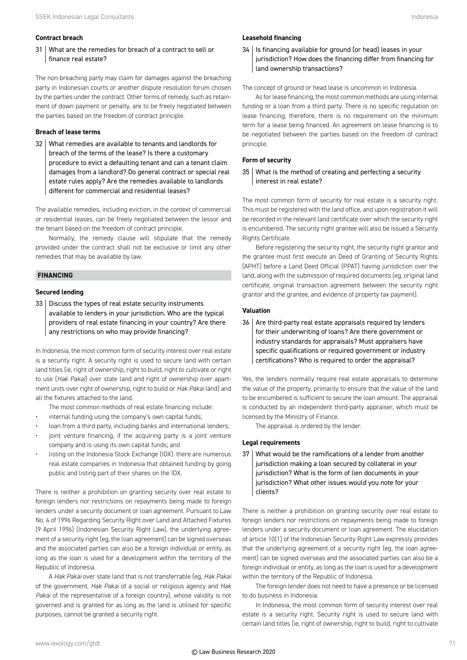#### **Contract breach**

31 What are the remedies for breach of a contract to sell or finance real estate?

The non-breaching party may claim for damages against the breaching party in Indonesian courts or another dispute resolution forum chosen by the parties under the contract. Other forms of remedy, such as retainment of down payment or penalty, are to be freely negotiated between the parties based on the freedom of contract principle.

#### **Breach of lease terms**

32 What remedies are available to tenants and landlords for breach of the terms of the lease? Is there a customary procedure to evict a defaulting tenant and can a tenant claim damages from a landlord? Do general contract or special real estate rules apply? Are the remedies available to landlords different for commercial and residential leases?

The available remedies, including eviction, in the context of commercial or residential leases, can be freely negotiated between the lessor and the tenant based on the freedom of contract principle.

Normally, the remedy clause will stipulate that the remedy provided under the contract shall not be exclusive or limit any other remedies that may be available by law.

#### **FINANCING**

#### **Secured lending**

33 Discuss the types of real estate security instruments available to lenders in your jurisdiction. Who are the typical providers of real estate financing in your country? Are there any restrictions on who may provide financing?

In Indonesia, the most common form of security interest over real estate is a security right. A security right is used to secure land with certain land titles (ie, right of ownership, right to build, right to cultivate or right to use (*Hak Pakai*) over state land and right of ownership over apartment units over right of ownership, right to build or *Hak Pakai* land) and all the fixtures attached to the land.

The most common methods of real estate financing include:

- internal funding using the company's own capital funds;
- loan from a third party, including banks and international lenders;
- joint venture financing, if the acquiring party is a joint venture company and is using its own capital funds; and
- listing on the Indonesia Stock Exchange (IDX): there are numerous real estate companies in Indonesia that obtained funding by going public and listing part of their shares on the IDX.

There is neither a prohibition on granting security over real estate to foreign lenders nor restrictions on repayments being made to foreign lenders under a security document or loan agreement. Pursuant to Law No. 4 of 1996 Regarding Security Right over Land and Attached Fixtures (9 April 1996) (Indonesian Security Right Law), the underlying agreement of a security right (eg, the loan agreement) can be signed overseas and the associated parties can also be a foreign individual or entity, as long as the loan is used for a development within the territory of the Republic of Indonesia.

A *Hak Pakai* over state land that is not transferrable (eg, *Hak Pakai* of the government, *Hak Pakai* of a social or religious agency and *Hak Pakai* of the representative of a foreign country), whose validity is not governed and is granted for as long as the land is utilised for specific purposes, cannot be granted a security right.

#### **Leasehold financing**

34 Is financing available for ground (or head) leases in your jurisdiction? How does the financing differ from financing for land ownership transactions?

The concept of ground or head lease is uncommon in Indonesia.

As for lease financing, the most common methods are using internal funding or a loan from a third party. There is no specific regulation on lease financing; therefore, there is no requirement on the minimum term for a lease being financed. An agreement on lease financing is to be negotiated between the parties based on the freedom of contract principle.

#### **Form of security**

35 What is the method of creating and perfecting a security interest in real estate?

The most common form of security for real estate is a security right. This must be registered with the land office, and upon registration it will be recorded in the relevant land certificate over which the security right is encumbered. The security right grantee will also be issued a Security Rights Certificate.

Before registering the security right, the security right grantor and the grantee must first execute an Deed of Granting of Security Rights (APHT) before a Land Deed Official (PPAT) having jurisdiction over the land, along with the submission of required documents (eg, original land certificate, original transaction agreement between the security right grantor and the grantee, and evidence of property tax payment).

#### **Valuation**

 $36$  Are third-party real estate appraisals required by lenders for their underwriting of loans? Are there government or industry standards for appraisals? Must appraisers have specific qualifications or required government or industry certifications? Who is required to order the appraisal?

Yes, the lenders normally require real estate appraisals to determine the value of the property, primarily to ensure that the value of the land to be encumbered is sufficient to secure the loan amount. The appraisal is conducted by an independent third-party appraiser, which must be licensed by the Ministry of Finance.

The appraisal is ordered by the lender.

#### **Legal requirements**

37 What would be the ramifications of a lender from another jurisdiction making a loan secured by collateral in your jurisdiction? What is the form of lien documents in your jurisdiction? What other issues would you note for your clients?

There is neither a prohibition on granting security over real estate to foreign lenders nor restrictions on repayments being made to foreign lenders under a security document or loan agreement. The elucidation of article 10(1) of the Indonesian Security Right Law expressly provides that the underlying agreement of a security right (eg, the loan agreement) can be signed overseas and the associated parties can also be a foreign individual or entity, as long as the loan is used for a development within the territory of the Republic of Indonesia.

The foreign lender does not need to have a presence or be licensed to do business in Indonesia.

In Indonesia, the most common form of security interest over real estate is a security right. Security right is used to secure land with certain land titles (ie, right of ownership, right to build, right to cultivate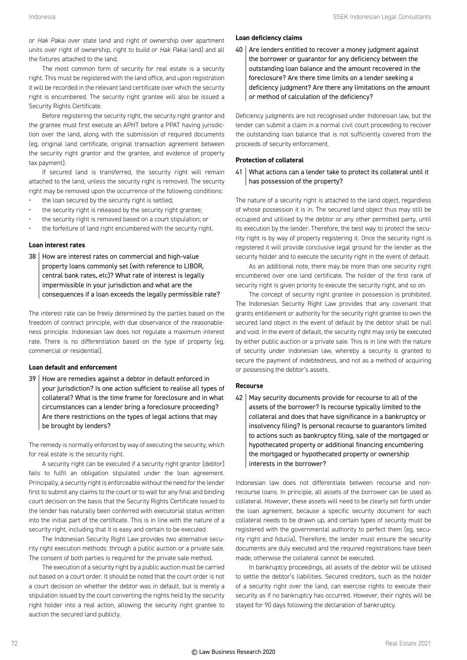or *Hak Pakai* over state land and right of ownership over apartment units over right of ownership, right to build or *Hak Pakai* land) and all the fixtures attached to the land.

The most common form of security for real estate is a security right. This must be registered with the land office, and upon registration it will be recorded in the relevant land certificate over which the security right is encumbered. The security right grantee will also be issued a Security Rights Certificate.

Before registering the security right, the security right grantor and the grantee must first execute an APHT before a PPAT having jurisdiction over the land, along with the submission of required documents (eg, original land certificate, original transaction agreement between the security right grantor and the grantee, and evidence of property tax payment).

If secured land is transferred, the security right will remain attached to the land, unless the security right is removed. The security right may be removed upon the occurrence of the following conditions:

- the loan secured by the security right is settled;
- the security right is released by the security right grantee;
- the security right is removed based on a court stipulation; or
- the forfeiture of land right encumbered with the security right.

#### **Loan interest rates**

38 How are interest rates on commercial and high-value property loans commonly set (with reference to LIBOR, central bank rates, etc)? What rate of interest is legally impermissible in your jurisdiction and what are the consequences if a loan exceeds the legally permissible rate?

The interest rate can be freely determined by the parties based on the freedom of contract principle, with due observance of the reasonableness principle. Indonesian law does not regulate a maximum interest rate. There is no differentiation based on the type of property (eg, commercial or residential).

#### **Loan default and enforcement**

39 How are remedies against a debtor in default enforced in your jurisdiction? Is one action sufficient to realise all types of collateral? What is the time frame for foreclosure and in what circumstances can a lender bring a foreclosure proceeding? Are there restrictions on the types of legal actions that may be brought by lenders?

The remedy is normally enforced by way of executing the security, which for real estate is the security right.

A security right can be executed if a security right grantor (debtor) fails to fulfil an obligation stipulated under the loan agreement. Principally, a security right is enforceable without the need for the lender first to submit any claims to the court or to wait for any final and binding court decision on the basis that the Security Rights Certificate issued to the lender has naturally been conferred with executorial status written into the initial part of the certificate. This is in line with the nature of a security right, including that it is easy and certain to be executed.

The Indonesian Security Right Law provides two alternative security right execution methods: through a public auction or a private sale. The consent of both parties is required for the private sale method.

The execution of a security right by a public auction must be carried out based on a court order. It should be noted that the court order is not a court decision on whether the debtor was in default, but is merely a stipulation issued by the court converting the rights held by the security right holder into a real action, allowing the security right grantee to auction the secured land publicly.

#### **Loan deficiency claims**

 $40$  Are lenders entitled to recover a money judgment against the borrower or guarantor for any deficiency between the outstanding loan balance and the amount recovered in the foreclosure? Are there time limits on a lender seeking a deficiency judgment? Are there any limitations on the amount or method of calculation of the deficiency?

Deficiency judgments are not recognised under Indonesian law, but the lender can submit a claim in a normal civil court proceeding to recover the outstanding loan balance that is not sufficiently covered from the proceeds of security enforcement.

#### **Protection of collateral**

41 What actions can a lender take to protect its collateral until it has possession of the property?

The nature of a security right is attached to the land object, regardless of whose possession it is in. The secured land object thus may still be occupied and utilised by the debtor or any other permitted party, until its execution by the lender. Therefore, the best way to protect the security right is by way of properly registering it. Once the security right is registered it will provide conclusive legal ground for the lender as the security holder and to execute the security right in the event of default.

As an additional note, there may be more than one security right encumbered over one land certificate. The holder of the first rank of security right is given priority to execute the security right, and so on.

The concept of security right grantee in possession is prohibited. The Indonesian Security Right Law provides that any covenant that grants entitlement or authority for the security right grantee to own the secured land object in the event of default by the debtor shall be null and void. In the event of default, the security right may only be executed by either public auction or a private sale. This is in line with the nature of security under Indonesian law, whereby a security is granted to secure the payment of indebtedness, and not as a method of acquiring or possessing the debtor's assets.

#### **Recourse**

42 May security documents provide for recourse to all of the assets of the borrower? Is recourse typically limited to the collateral and does that have significance in a bankruptcy or insolvency filing? Is personal recourse to guarantors limited to actions such as bankruptcy filing, sale of the mortgaged or hypothecated property or additional financing encumbering the mortgaged or hypothecated property or ownership interests in the borrower?

Indonesian law does not differentiate between recourse and nonrecourse loans. In principle, all assets of the borrower can be used as collateral. However, these assets will need to be clearly set forth under the loan agreement, because a specific security document for each collateral needs to be drawn up, and certain types of security must be registered with the governmental authority to perfect them (eg, security right and fiducia). Therefore, the lender must ensure the security documents are duly executed and the required registrations have been made, otherwise the collateral cannot be executed.

In bankruptcy proceedings, all assets of the debtor will be utilised to settle the debtor's liabilities. Secured creditors, such as the holder of a security right over the land, can exercise rights to execute their security as if no bankruptcy has occurred. However, their rights will be stayed for 90 days following the declaration of bankruptcy.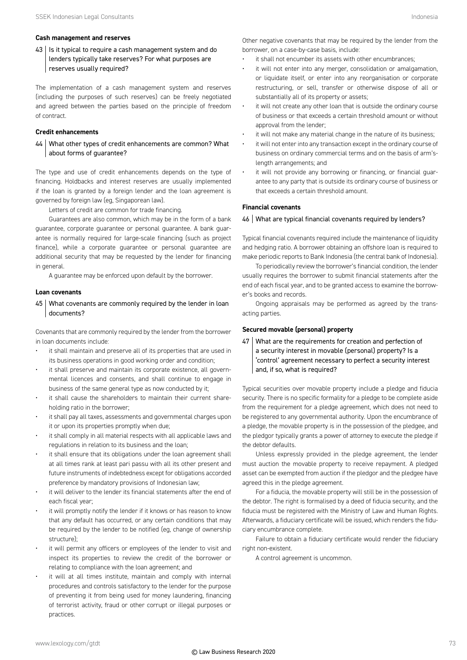#### **Cash management and reserves**

 $43$  | Is it typical to require a cash management system and do lenders typically take reserves? For what purposes are reserves usually required?

The implementation of a cash management system and reserves (including the purposes of such reserves) can be freely negotiated and agreed between the parties based on the principle of freedom of contract.

#### **Credit enhancements**

44 What other types of credit enhancements are common? What about forms of guarantee?

The type and use of credit enhancements depends on the type of financing. Holdbacks and interest reserves are usually implemented if the loan is granted by a foreign lender and the loan agreement is governed by foreign law (eg, Singaporean law).

Letters of credit are common for trade financing.

Guarantees are also common, which may be in the form of a bank guarantee, corporate guarantee or personal guarantee. A bank guarantee is normally required for large-scale financing (such as project finance), while a corporate guarantee or personal guarantee are additional security that may be requested by the lender for financing in general.

A guarantee may be enforced upon default by the borrower.

#### **Loan covenants**

45 What covenants are commonly required by the lender in loan documents?

Covenants that are commonly required by the lender from the borrower in loan documents include:

- it shall maintain and preserve all of its properties that are used in its business operations in good working order and condition;
- it shall preserve and maintain its corporate existence, all governmental licences and consents, and shall continue to engage in business of the same general type as now conducted by it;
- it shall cause the shareholders to maintain their current shareholding ratio in the borrower;
- it shall pay all taxes, assessments and governmental charges upon it or upon its properties promptly when due;
- it shall comply in all material respects with all applicable laws and regulations in relation to its business and the loan;
- it shall ensure that its obligations under the loan agreement shall at all times rank at least pari passu with all its other present and future instruments of indebtedness except for obligations accorded preference by mandatory provisions of Indonesian law;
- it will deliver to the lender its financial statements after the end of each fiscal year;
- it will promptly notify the lender if it knows or has reason to know that any default has occurred, or any certain conditions that may be required by the lender to be notified (eg, change of ownership structure);
- it will permit any officers or employees of the lender to visit and inspect its properties to review the credit of the borrower or relating to compliance with the loan agreement; and
- it will at all times institute, maintain and comply with internal procedures and controls satisfactory to the lender for the purpose of preventing it from being used for money laundering, financing of terrorist activity, fraud or other corrupt or illegal purposes or practices.

Other negative covenants that may be required by the lender from the borrower, on a case-by-case basis, include:

- it shall not encumber its assets with other encumbrances:
- it will not enter into any merger, consolidation or amalgamation, or liquidate itself, or enter into any reorganisation or corporate restructuring, or sell, transfer or otherwise dispose of all or substantially all of its property or assets;
- it will not create any other loan that is outside the ordinary course of business or that exceeds a certain threshold amount or without approval from the lender;
- it will not make any material change in the nature of its business:
- it will not enter into any transaction except in the ordinary course of business on ordinary commercial terms and on the basis of arm'slength arrangements; and
- it will not provide any borrowing or financing, or financial guarantee to any party that is outside its ordinary course of business or that exceeds a certain threshold amount.

#### **Financial covenants**

#### 46 | What are typical financial covenants required by lenders?

Typical financial covenants required include the maintenance of liquidity and hedging ratio. A borrower obtaining an offshore loan is required to make periodic reports to Bank Indonesia (the central bank of Indonesia).

To periodically review the borrower's financial condition, the lender usually requires the borrower to submit financial statements after the end of each fiscal year, and to be granted access to examine the borrower's books and records.

Ongoing appraisals may be performed as agreed by the transacting parties.

#### **Secured movable (personal) property**

47 What are the requirements for creation and perfection of a security interest in movable (personal) property? Is a 'control' agreement necessary to perfect a security interest and, if so, what is required?

Typical securities over movable property include a pledge and fiducia security. There is no specific formality for a pledge to be complete aside from the requirement for a pledge agreement, which does not need to be registered to any governmental authority. Upon the encumbrance of a pledge, the movable property is in the possession of the pledgee, and the pledgor typically grants a power of attorney to execute the pledge if the debtor defaults.

Unless expressly provided in the pledge agreement, the lender must auction the movable property to receive repayment. A pledged asset can be exempted from auction if the pledgor and the pledgee have agreed this in the pledge agreement.

For a fiducia, the movable property will still be in the possession of the debtor. The right is formalised by a deed of fiducia security, and the fiducia must be registered with the Ministry of Law and Human Rights. Afterwards, a fiduciary certificate will be issued, which renders the fiduciary encumbrance complete.

Failure to obtain a fiduciary certificate would render the fiduciary right non-existent.

A control agreement is uncommon.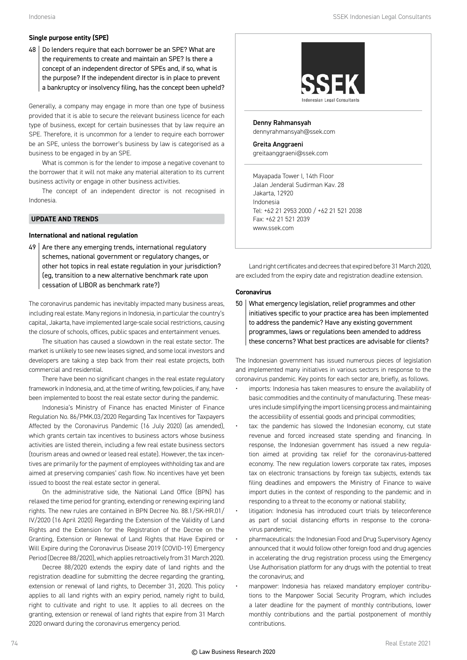#### **Single purpose entity (SPE)**

48 | Do lenders require that each borrower be an SPE? What are the requirements to create and maintain an SPE? Is there a concept of an independent director of SPEs and, if so, what is the purpose? If the independent director is in place to prevent a bankruptcy or insolvency filing, has the concept been upheld?

Generally, a company may engage in more than one type of business provided that it is able to secure the relevant business licence for each type of business, except for certain businesses that by law require an SPE. Therefore, it is uncommon for a lender to require each borrower be an SPE, unless the borrower's business by law is categorised as a business to be engaged in by an SPE.

What is common is for the lender to impose a negative covenant to the borrower that it will not make any material alteration to its current business activity or engage in other business activities.

The concept of an independent director is not recognised in Indonesia.

#### **UPDATE AND TRENDS**

#### **International and national regulation**

 $49$  Are there any emerging trends, international regulatory schemes, national government or regulatory changes, or other hot topics in real estate regulation in your jurisdiction? (eg, transition to a new alternative benchmark rate upon cessation of LIBOR as benchmark rate?)

The coronavirus pandemic has inevitably impacted many business areas, including real estate. Many regions in Indonesia, in particular the country's capital, Jakarta, have implemented large-scale social restrictions, causing the closure of schools, offices, public spaces and entertainment venues.

The situation has caused a slowdown in the real estate sector. The market is unlikely to see new leases signed, and some local investors and developers are taking a step back from their real estate projects, both commercial and residential.

There have been no significant changes in the real estate regulatory framework in Indonesia, and, at the time of writing, few policies, if any, have been implemented to boost the real estate sector during the pandemic.

Indonesia's Ministry of Finance has enacted Minister of Finance Regulation No. 86/PMK.03/2020 Regarding Tax Incentives for Taxpayers Affected by the Coronavirus Pandemic (16 July 2020) (as amended), which grants certain tax incentives to business actors whose business activities are listed therein, including a few real estate business sectors (tourism areas and owned or leased real estate). However, the tax incentives are primarily for the payment of employees withholding tax and are aimed at preserving companies' cash flow. No incentives have yet been issued to boost the real estate sector in general.

On the administrative side, the National Land Office (BPN) has relaxed the time period for granting, extending or renewing expiring land rights. The new rules are contained in BPN Decree No. 88.1/SK-HR.01/ IV/2020 (16 April 2020) Regarding the Extension of the Validity of Land Rights and the Extension for the Registration of the Decree on the Granting, Extension or Renewal of Land Rights that Have Expired or Will Expire during the Coronavirus Disease 2019 (COVID-19) Emergency Period (Decree 88/2020), which applies retroactively from 31 March 2020.

Decree 88/2020 extends the expiry date of land rights and the registration deadline for submitting the decree regarding the granting, extension or renewal of land rights, to December 31, 2020. This policy applies to all land rights with an expiry period, namely right to build, right to cultivate and right to use. It applies to all decrees on the granting, extension or renewal of land rights that expire from 31 March 2020 onward during the coronavirus emergency period.



Denny Rahmansyah dennyrahmansyah@ssek.com

Greita Anggraeni greitaanggraeni@ssek.com

Mayapada Tower I, 14th Floor Jalan Jenderal Sudirman Kav. 28 Jakarta, 12920 Indonesia Tel: +62 21 2953 2000 / +62 21 521 2038 Fax: +62 21 521 2039 www.ssek.com

Land right certificates and decrees that expired before 31 March 2020, are excluded from the expiry date and registration deadline extension.

#### **Coronavirus**

50 What emergency legislation, relief programmes and other initiatives specific to your practice area has been implemented to address the pandemic? Have any existing government programmes, laws or regulations been amended to address these concerns? What best practices are advisable for clients?

The Indonesian government has issued numerous pieces of legislation and implemented many initiatives in various sectors in response to the coronavirus pandemic. Key points for each sector are, briefly, as follows.

- imports: Indonesia has taken measures to ensure the availability of basic commodities and the continuity of manufacturing. These measures include simplifying the import licensing process and maintaining the accessibility of essential goods and principal commodities;
- tax: the pandemic has slowed the Indonesian economy, cut state revenue and forced increased state spending and financing. In response, the Indonesian government has issued a new regulation aimed at providing tax relief for the coronavirus-battered economy. The new regulation lowers corporate tax rates, imposes tax on electronic transactions by foreign tax subjects, extends tax filing deadlines and empowers the Ministry of Finance to waive import duties in the context of responding to the pandemic and in responding to a threat to the economy or national stability;
- litigation: Indonesia has introduced court trials by teleconference as part of social distancing efforts in response to the coronavirus pandemic;
- pharmaceuticals: the Indonesian Food and Drug Supervisory Agency announced that it would follow other foreign food and drug agencies in accelerating the drug registration process using the Emergency Use Authorisation platform for any drugs with the potential to treat the coronavirus; and
- manpower: Indonesia has relaxed mandatory employer contributions to the Manpower Social Security Program, which includes a later deadline for the payment of monthly contributions, lower monthly contributions and the partial postponement of monthly contributions.